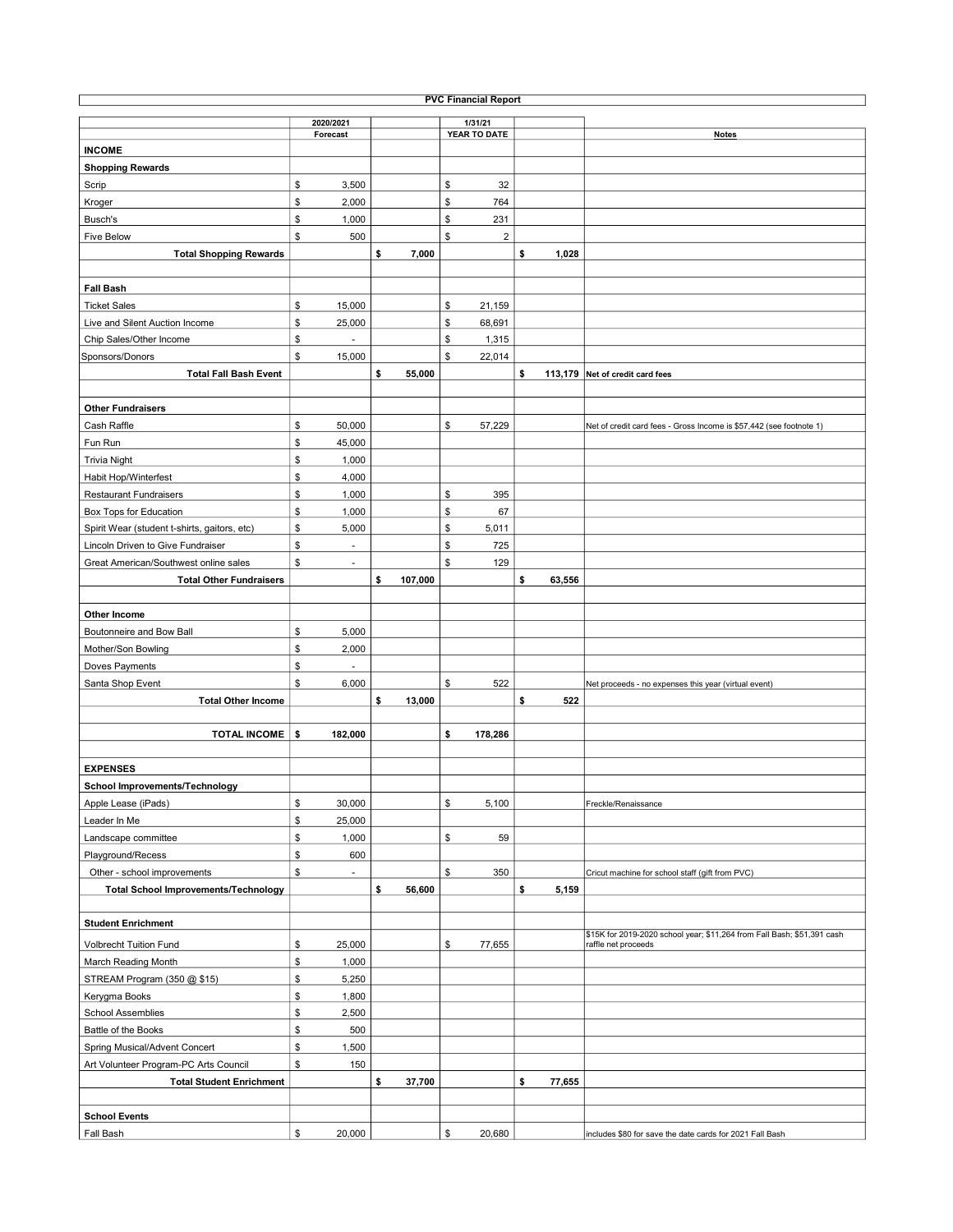| <b>PVC Financial Report</b>                  |    |                |    |         |    |              |    |        |                                                                         |  |  |  |
|----------------------------------------------|----|----------------|----|---------|----|--------------|----|--------|-------------------------------------------------------------------------|--|--|--|
|                                              |    | 2020/2021      |    |         |    | 1/31/21      |    |        |                                                                         |  |  |  |
|                                              |    | Forecast       |    |         |    | YEAR TO DATE |    |        | <b>Notes</b>                                                            |  |  |  |
| <b>INCOME</b>                                |    |                |    |         |    |              |    |        |                                                                         |  |  |  |
| <b>Shopping Rewards</b>                      |    |                |    |         |    |              |    |        |                                                                         |  |  |  |
| Scrip                                        | \$ | 3,500          |    |         | \$ | 32           |    |        |                                                                         |  |  |  |
| Kroger                                       | \$ | 2,000          |    |         | \$ | 764          |    |        |                                                                         |  |  |  |
| Busch's                                      | \$ | 1,000          |    |         | \$ | 231          |    |        |                                                                         |  |  |  |
| <b>Five Below</b>                            | \$ | 500            |    |         | \$ | $\mathbf 2$  |    |        |                                                                         |  |  |  |
| <b>Total Shopping Rewards</b>                |    |                | \$ | 7,000   |    |              | \$ | 1,028  |                                                                         |  |  |  |
|                                              |    |                |    |         |    |              |    |        |                                                                         |  |  |  |
| <b>Fall Bash</b>                             |    |                |    |         |    |              |    |        |                                                                         |  |  |  |
| <b>Ticket Sales</b>                          | \$ | 15,000         |    |         | \$ | 21,159       |    |        |                                                                         |  |  |  |
| Live and Silent Auction Income               | \$ | 25,000         |    |         | \$ | 68,691       |    |        |                                                                         |  |  |  |
| Chip Sales/Other Income                      | \$ |                |    |         | \$ | 1,315        |    |        |                                                                         |  |  |  |
| Sponsors/Donors                              | \$ | 15,000         |    |         | \$ | 22,014       |    |        |                                                                         |  |  |  |
| <b>Total Fall Bash Event</b>                 |    |                | \$ | 55,000  |    |              | \$ |        | 113,179 Net of credit card fees                                         |  |  |  |
|                                              |    |                |    |         |    |              |    |        |                                                                         |  |  |  |
|                                              |    |                |    |         |    |              |    |        |                                                                         |  |  |  |
| <b>Other Fundraisers</b>                     |    |                |    |         |    |              |    |        |                                                                         |  |  |  |
| Cash Raffle                                  | \$ | 50,000         |    |         | \$ | 57,229       |    |        | Net of credit card fees - Gross Income is \$57,442 (see footnote 1)     |  |  |  |
| Fun Run                                      | \$ | 45,000         |    |         |    |              |    |        |                                                                         |  |  |  |
| <b>Trivia Night</b>                          | \$ | 1,000          |    |         |    |              |    |        |                                                                         |  |  |  |
| Habit Hop/Winterfest                         | \$ | 4,000          |    |         |    |              |    |        |                                                                         |  |  |  |
| <b>Restaurant Fundraisers</b>                | \$ | 1,000          |    |         | \$ | 395          |    |        |                                                                         |  |  |  |
| Box Tops for Education                       | \$ | 1,000          |    |         | \$ | 67           |    |        |                                                                         |  |  |  |
| Spirit Wear (student t-shirts, gaitors, etc) | \$ | 5,000          |    |         | \$ | 5,011        |    |        |                                                                         |  |  |  |
| Lincoln Driven to Give Fundraiser            | \$ |                |    |         | \$ | 725          |    |        |                                                                         |  |  |  |
| Great American/Southwest online sales        | \$ | $\sim$         |    |         | \$ | 129          |    |        |                                                                         |  |  |  |
| <b>Total Other Fundraisers</b>               |    |                | \$ | 107,000 |    |              | \$ | 63,556 |                                                                         |  |  |  |
|                                              |    |                |    |         |    |              |    |        |                                                                         |  |  |  |
| Other Income                                 |    |                |    |         |    |              |    |        |                                                                         |  |  |  |
| Boutonneire and Bow Ball                     | \$ | 5,000          |    |         |    |              |    |        |                                                                         |  |  |  |
| Mother/Son Bowling                           | \$ | 2,000          |    |         |    |              |    |        |                                                                         |  |  |  |
| Doves Payments                               | \$ |                |    |         |    |              |    |        |                                                                         |  |  |  |
| Santa Shop Event                             | \$ | 6,000          |    |         | \$ | 522          |    |        | Net proceeds - no expenses this year (virtual event)                    |  |  |  |
| <b>Total Other Income</b>                    |    |                | \$ | 13,000  |    |              | \$ | 522    |                                                                         |  |  |  |
|                                              |    |                |    |         |    |              |    |        |                                                                         |  |  |  |
| <b>TOTAL INCOME   \$</b>                     |    | 182,000        |    |         | \$ | 178,286      |    |        |                                                                         |  |  |  |
|                                              |    |                |    |         |    |              |    |        |                                                                         |  |  |  |
| <b>EXPENSES</b>                              |    |                |    |         |    |              |    |        |                                                                         |  |  |  |
| <b>School Improvements/Technology</b>        |    |                |    |         |    |              |    |        |                                                                         |  |  |  |
|                                              |    |                |    |         |    |              |    |        |                                                                         |  |  |  |
| Apple Lease (iPads)                          | \$ | 30,000         |    |         | \$ | 5,100        |    |        | Freckle/Renaissance                                                     |  |  |  |
| Leader In Me                                 | \$ | 25,000         |    |         |    |              |    |        |                                                                         |  |  |  |
| Landscape committee                          | \$ | 1,000          |    |         | \$ | 59           |    |        |                                                                         |  |  |  |
| Playground/Recess                            | \$ | 600            |    |         |    |              |    |        |                                                                         |  |  |  |
| Other - school improvements                  | \$ | $\blacksquare$ |    |         | \$ | 350          |    |        | Cricut machine for school staff (gift from PVC)                         |  |  |  |
| <b>Total School Improvements/Technology</b>  |    |                | \$ | 56,600  |    |              | \$ | 5,159  |                                                                         |  |  |  |
|                                              |    |                |    |         |    |              |    |        |                                                                         |  |  |  |
| <b>Student Enrichment</b>                    |    |                |    |         |    |              |    |        | \$15K for 2019-2020 school year; \$11,264 from Fall Bash; \$51,391 cash |  |  |  |
| <b>Volbrecht Tuition Fund</b>                | \$ | 25,000         |    |         | \$ | 77,655       |    |        | raffle net proceeds                                                     |  |  |  |
| March Reading Month                          | \$ | 1,000          |    |         |    |              |    |        |                                                                         |  |  |  |
| STREAM Program (350 @ \$15)                  | \$ | 5,250          |    |         |    |              |    |        |                                                                         |  |  |  |
| Kerygma Books                                | \$ | 1,800          |    |         |    |              |    |        |                                                                         |  |  |  |
| <b>School Assemblies</b>                     | \$ | 2,500          |    |         |    |              |    |        |                                                                         |  |  |  |
| Battle of the Books                          | \$ | 500            |    |         |    |              |    |        |                                                                         |  |  |  |
| Spring Musical/Advent Concert                | \$ | 1,500          |    |         |    |              |    |        |                                                                         |  |  |  |
| Art Volunteer Program-PC Arts Council        | \$ | 150            |    |         |    |              |    |        |                                                                         |  |  |  |
| <b>Total Student Enrichment</b>              |    |                | \$ | 37,700  |    |              | \$ | 77,655 |                                                                         |  |  |  |
|                                              |    |                |    |         |    |              |    |        |                                                                         |  |  |  |
|                                              |    |                |    |         |    |              |    |        |                                                                         |  |  |  |
| <b>School Events</b>                         |    |                |    |         |    |              |    |        |                                                                         |  |  |  |
| Fall Bash                                    | \$ | 20,000         |    |         | \$ | 20,680       |    |        | includes \$80 for save the date cards for 2021 Fall Bash                |  |  |  |